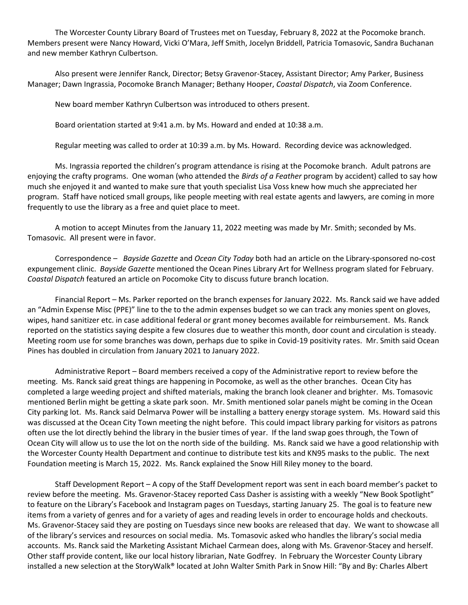The Worcester County Library Board of Trustees met on Tuesday, February 8, 2022 at the Pocomoke branch. Members present were Nancy Howard, Vicki O'Mara, Jeff Smith, Jocelyn Briddell, Patricia Tomasovic, Sandra Buchanan and new member Kathryn Culbertson.

Also present were Jennifer Ranck, Director; Betsy Gravenor-Stacey, Assistant Director; Amy Parker, Business Manager; Dawn Ingrassia, Pocomoke Branch Manager; Bethany Hooper, *Coastal Dispatch*, via Zoom Conference.

New board member Kathryn Culbertson was introduced to others present.

Board orientation started at 9:41 a.m. by Ms. Howard and ended at 10:38 a.m.

Regular meeting was called to order at 10:39 a.m. by Ms. Howard. Recording device was acknowledged.

Ms. Ingrassia reported the children's program attendance is rising at the Pocomoke branch. Adult patrons are enjoying the crafty programs. One woman (who attended the *Birds of a Feather* program by accident) called to say how much she enjoyed it and wanted to make sure that youth specialist Lisa Voss knew how much she appreciated her program. Staff have noticed small groups, like people meeting with real estate agents and lawyers, are coming in more frequently to use the library as a free and quiet place to meet.

A motion to accept Minutes from the January 11, 2022 meeting was made by Mr. Smith; seconded by Ms. Tomasovic. All present were in favor.

Correspondence – *Bayside Gazette* and *Ocean City Today* both had an article on the Library-sponsored no-cost expungement clinic. *Bayside Gazette* mentioned the Ocean Pines Library Art for Wellness program slated for February. *Coastal Dispatch* featured an article on Pocomoke City to discuss future branch location.

Financial Report – Ms. Parker reported on the branch expenses for January 2022. Ms. Ranck said we have added an "Admin Expense Misc (PPE)" line to the to the admin expenses budget so we can track any monies spent on gloves, wipes, hand sanitizer etc. in case additional federal or grant money becomes available for reimbursement. Ms. Ranck reported on the statistics saying despite a few closures due to weather this month, door count and circulation is steady. Meeting room use for some branches was down, perhaps due to spike in Covid-19 positivity rates. Mr. Smith said Ocean Pines has doubled in circulation from January 2021 to January 2022.

Administrative Report – Board members received a copy of the Administrative report to review before the meeting. Ms. Ranck said great things are happening in Pocomoke, as well as the other branches. Ocean City has completed a large weeding project and shifted materials, making the branch look cleaner and brighter. Ms. Tomasovic mentioned Berlin might be getting a skate park soon. Mr. Smith mentioned solar panels might be coming in the Ocean City parking lot. Ms. Ranck said Delmarva Power will be installing a battery energy storage system. Ms. Howard said this was discussed at the Ocean City Town meeting the night before. This could impact library parking for visitors as patrons often use the lot directly behind the library in the busier times of year. If the land swap goes through, the Town of Ocean City will allow us to use the lot on the north side of the building. Ms. Ranck said we have a good relationship with the Worcester County Health Department and continue to distribute test kits and KN95 masks to the public. The next Foundation meeting is March 15, 2022. Ms. Ranck explained the Snow Hill Riley money to the board.

Staff Development Report – A copy of the Staff Development report was sent in each board member's packet to review before the meeting. Ms. Gravenor-Stacey reported Cass Dasher is assisting with a weekly "New Book Spotlight" to feature on the Library's Facebook and Instagram pages on Tuesdays, starting January 25. The goal is to feature new items from a variety of genres and for a variety of ages and reading levels in order to encourage holds and checkouts. Ms. Gravenor-Stacey said they are posting on Tuesdays since new books are released that day. We want to showcase all of the library's services and resources on social media. Ms. Tomasovic asked who handles the library's social media accounts. Ms. Ranck said the Marketing Assistant Michael Carmean does, along with Ms. Gravenor-Stacey and herself. Other staff provide content, like our local history librarian, Nate Godfrey. In February the Worcester County Library installed a new selection at the StoryWalk® located at John Walter Smith Park in Snow Hill: "By and By: Charles Albert